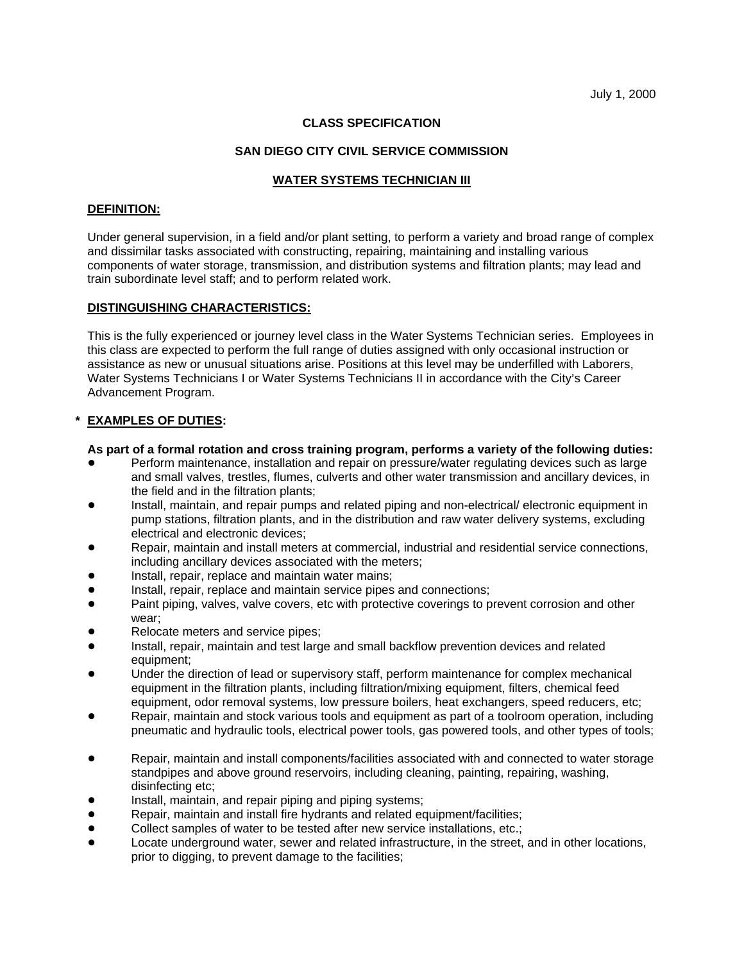## **CLASS SPECIFICATION**

### **SAN DIEGO CITY CIVIL SERVICE COMMISSION**

## **WATER SYSTEMS TECHNICIAN III**

#### **DEFINITION:**

Under general supervision, in a field and/or plant setting, to perform a variety and broad range of complex and dissimilar tasks associated with constructing, repairing, maintaining and installing various components of water storage, transmission, and distribution systems and filtration plants; may lead and train subordinate level staff; and to perform related work.

### **DISTINGUISHING CHARACTERISTICS:**

This is the fully experienced or journey level class in the Water Systems Technician series. Employees in this class are expected to perform the full range of duties assigned with only occasional instruction or assistance as new or unusual situations arise. Positions at this level may be underfilled with Laborers, Water Systems Technicians I or Water Systems Technicians II in accordance with the City's Career Advancement Program.

### **EXAMPLES OF DUTIES:**

#### **As part of a formal rotation and cross training program, performs a variety of the following duties:**

- Perform maintenance, installation and repair on pressure/water regulating devices such as large and small valves, trestles, flumes, culverts and other water transmission and ancillary devices, in the field and in the filtration plants;
- Install, maintain, and repair pumps and related piping and non-electrical/ electronic equipment in pump stations, filtration plants, and in the distribution and raw water delivery systems, excluding electrical and electronic devices;
- Repair, maintain and install meters at commercial, industrial and residential service connections, including ancillary devices associated with the meters;
- Install, repair, replace and maintain water mains;
- Install, repair, replace and maintain service pipes and connections;
- Paint piping, valves, valve covers, etc with protective coverings to prevent corrosion and other wear;
- Relocate meters and service pipes:
- ! Install, repair, maintain and test large and small backflow prevention devices and related equipment;
- Under the direction of lead or supervisory staff, perform maintenance for complex mechanical equipment in the filtration plants, including filtration/mixing equipment, filters, chemical feed equipment, odor removal systems, low pressure boilers, heat exchangers, speed reducers, etc;
- Repair, maintain and stock various tools and equipment as part of a toolroom operation, including pneumatic and hydraulic tools, electrical power tools, gas powered tools, and other types of tools;
- Repair, maintain and install components/facilities associated with and connected to water storage standpipes and above ground reservoirs, including cleaning, painting, repairing, washing, disinfecting etc;
- Install, maintain, and repair piping and piping systems;
- ! Repair, maintain and install fire hydrants and related equipment/facilities;
- ! Collect samples of water to be tested after new service installations, etc.;
- Locate underground water, sewer and related infrastructure, in the street, and in other locations, prior to digging, to prevent damage to the facilities;